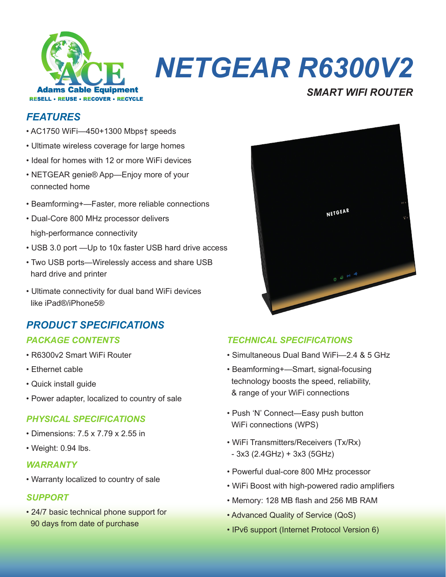

# *NETGEAR R6300V2*

# *FEATURES*

- AC1750 WiFi—450+1300 Mbps† speeds
- Ultimate wireless coverage for large homes
- Ideal for homes with 12 or more WiFi devices
- NETGEAR genie® App—Enjoy more of your connected home
- Beamforming+—Faster, more reliable connections
- Dual-Core 800 MHz processor delivers high-performance connectivity
- USB 3.0 port —Up to 10x faster USB hard drive access
- Two USB ports—Wirelessly access and share USB hard drive and printer
- Ultimate connectivity for dual band WiFi devices like iPad®/iPhone5®

# *PRODUCT SPECIFICATIONS*

- R6300v2 Smart WiFi Router
- Ethernet cable
- Quick install guide
- Power adapter, localized to country of sale

### *PHYSICAL SPECIFICATIONS*

- Dimensions: 7.5 x 7.79 x 2.55 in
- Weight: 0.94 lbs.

#### *WARRANTY*

• Warranty localized to country of sale

#### *SUPPORT*

• 24/7 basic technical phone support for 90 days from date of purchase



*SMART WIFI ROUTER*

## *PACKAGE CONTENTS TECHNICAL SPECIFICATIONS*

- Simultaneous Dual Band WiFi—2.4 & 5 GHz
- Beamforming+—Smart, signal-focusing technology boosts the speed, reliability, & range of your WiFi connections
- Push 'N' Connect—Easy push button WiFi connections (WPS)
- WiFi Transmitters/Receivers (Tx/Rx) - 3x3 (2.4GHz) + 3x3 (5GHz)
- Powerful dual-core 800 MHz processor
- WiFi Boost with high-powered radio amplifiers
- Memory: 128 MB flash and 256 MB RAM
- Advanced Quality of Service (QoS)
- IPv6 support (Internet Protocol Version 6)